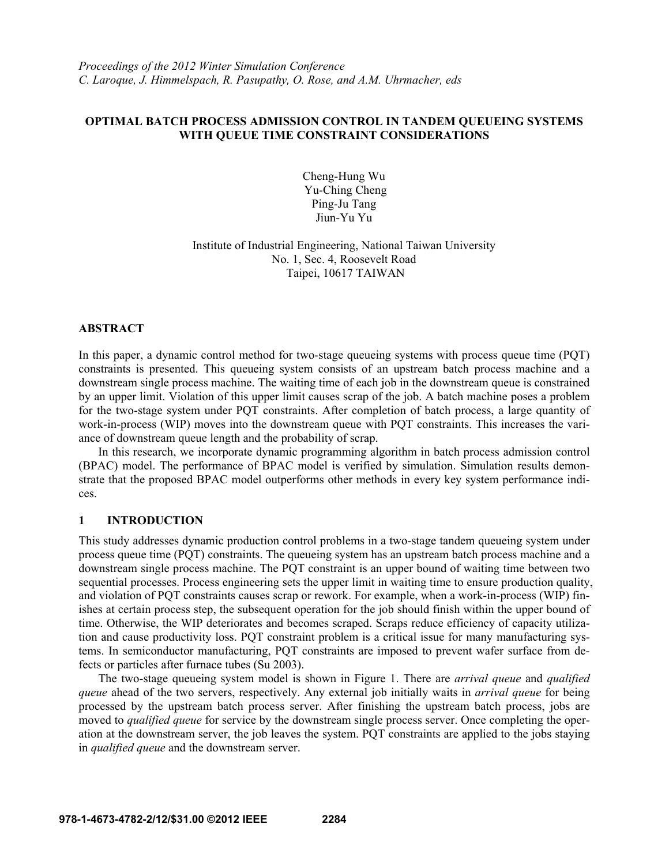# **OPTIMAL BATCH PROCESS ADMISSION CONTROL IN TANDEM QUEUEING SYSTEMS WITH QUEUE TIME CONSTRAINT CONSIDERATIONS**

Cheng-Hung Wu Yu-Ching Cheng Ping-Ju Tang Jiun-Yu Yu

Institute of Industrial Engineering, National Taiwan University No. 1, Sec. 4, Roosevelt Road Taipei, 10617 TAIWAN

#### **ABSTRACT**

In this paper, a dynamic control method for two-stage queueing systems with process queue time (PQT) constraints is presented. This queueing system consists of an upstream batch process machine and a downstream single process machine. The waiting time of each job in the downstream queue is constrained by an upper limit. Violation of this upper limit causes scrap of the job. A batch machine poses a problem for the two-stage system under PQT constraints. After completion of batch process, a large quantity of work-in-process (WIP) moves into the downstream queue with PQT constraints. This increases the variance of downstream queue length and the probability of scrap.

 In this research, we incorporate dynamic programming algorithm in batch process admission control (BPAC) model. The performance of BPAC model is verified by simulation. Simulation results demonstrate that the proposed BPAC model outperforms other methods in every key system performance indices.

### **1 INTRODUCTION**

This study addresses dynamic production control problems in a two-stage tandem queueing system under process queue time (PQT) constraints. The queueing system has an upstream batch process machine and a downstream single process machine. The PQT constraint is an upper bound of waiting time between two sequential processes. Process engineering sets the upper limit in waiting time to ensure production quality, and violation of PQT constraints causes scrap or rework. For example, when a work-in-process (WIP) finishes at certain process step, the subsequent operation for the job should finish within the upper bound of time. Otherwise, the WIP deteriorates and becomes scraped. Scraps reduce efficiency of capacity utilization and cause productivity loss. PQT constraint problem is a critical issue for many manufacturing systems. In semiconductor manufacturing, PQT constraints are imposed to prevent wafer surface from defects or particles after furnace tubes (Su 2003).

The two-stage queueing system model is shown in Figure 1. There are *arrival queue* and *qualified queue* ahead of the two servers, respectively. Any external job initially waits in *arrival queue* for being processed by the upstream batch process server. After finishing the upstream batch process, jobs are moved to *qualified queue* for service by the downstream single process server. Once completing the operation at the downstream server, the job leaves the system. PQT constraints are applied to the jobs staying in *qualified queue* and the downstream server.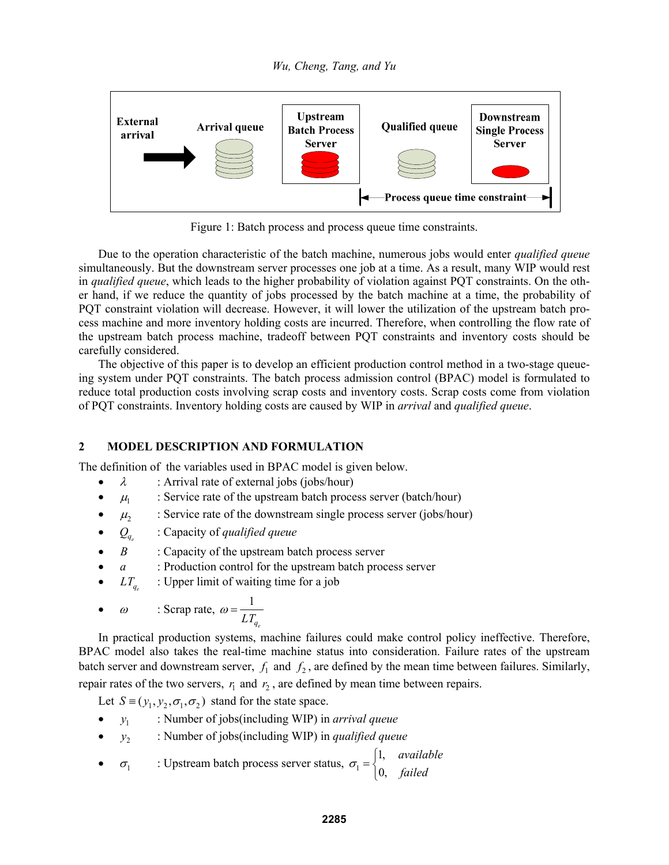

Figure 1: Batch process and process queue time constraints.

Due to the operation characteristic of the batch machine, numerous jobs would enter *qualified queue* simultaneously. But the downstream server processes one job at a time. As a result, many WIP would rest in *qualified queue*, which leads to the higher probability of violation against PQT constraints. On the other hand, if we reduce the quantity of jobs processed by the batch machine at a time, the probability of PQT constraint violation will decrease. However, it will lower the utilization of the upstream batch process machine and more inventory holding costs are incurred. Therefore, when controlling the flow rate of the upstream batch process machine, tradeoff between PQT constraints and inventory costs should be carefully considered.

The objective of this paper is to develop an efficient production control method in a two-stage queueing system under PQT constraints. The batch process admission control (BPAC) model is formulated to reduce total production costs involving scrap costs and inventory costs. Scrap costs come from violation of PQT constraints. Inventory holding costs are caused by WIP in *arrival* and *qualified queue*.

# **2 MODEL DESCRIPTION AND FORMULATION**

The definition of the variables used in BPAC model is given below.

- $\lambda$  : Arrival rate of external jobs (jobs/hour)
- $\mu_1$  : Service rate of the upstream batch process server (batch/hour)
- $\mu_2$  : Service rate of the downstream single process server (jobs/hour)
- *<sup>e</sup> Qq* : Capacity of *qualified queue*
- *B* : Capacity of the upstream batch process server
- *a* : Production control for the upstream batch process server
- $LT<sub>a</sub>$  : Upper limit of waiting time for a job

• 
$$
\omega
$$
 : Scrap rate,  $\omega = \frac{1}{LT_{q_e}}$ 

In practical production systems, machine failures could make control policy ineffective. Therefore, BPAC model also takes the real-time machine status into consideration. Failure rates of the upstream batch server and downstream server,  $f_1$  and  $f_2$ , are defined by the mean time between failures. Similarly, repair rates of the two servers,  $r_1$  and  $r_2$ , are defined by mean time between repairs.

Let  $S = (y_1, y_2, \sigma_1, \sigma_2)$  stand for the state space.

- <sup>1</sup>*y* : Number of jobs(including WIP) in *arrival queue*
- <sup>2</sup> *y* : Number of jobs(including WIP) in *qualified queue*

• 
$$
\sigma_1
$$
 : Upstream batch process server status,  $\sigma_1 = \begin{cases} 1, & available \\ 0, & failed \end{cases}$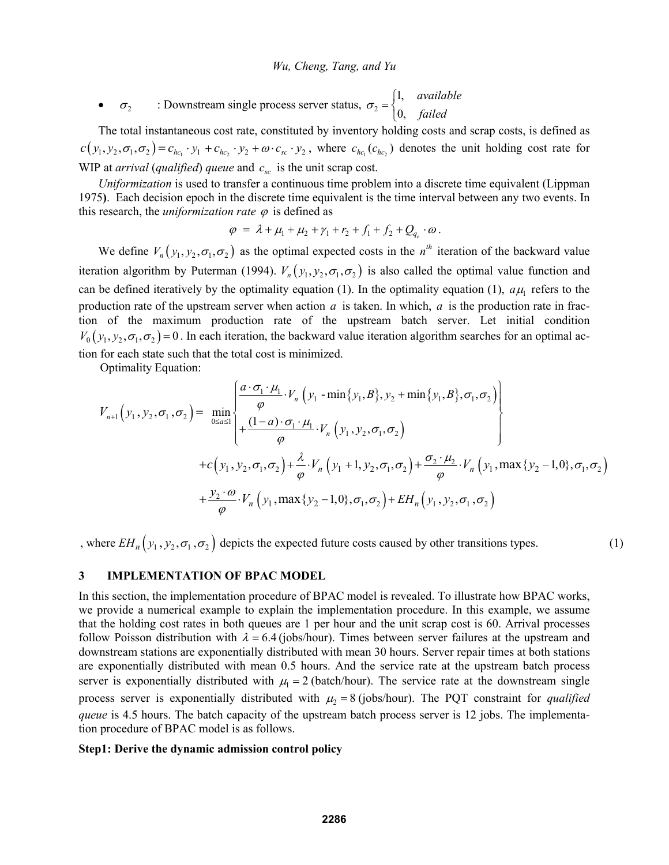•  $\sigma_2$  : Downstream single process server status,  $\sigma_2 = \begin{cases} 1, & \text{if } 1 \leq 1, \\ 0, & \text{if } 1 \leq 1. \end{cases}$ 0, *available*  $\sigma_2 = \begin{cases} 1, & \text{available} \\ 0, & \text{failed} \end{cases}$  $\overline{\mathfrak{l}}$ 

The total instantaneous cost rate, constituted by inventory holding costs and scrap costs, is defined as  $c(y_1, y_2, \sigma_1, \sigma_2) = c_{hc_1} \cdot y_1 + c_{hc_2} \cdot y_2 + \omega \cdot c_{sc} \cdot y_2$ , where  $c_{hc_1}(c_{hc_2})$  denotes the unit holding cost rate for WIP at *arrival* (*qualified*) *queue* and  $c_{sc}$  is the unit scrap cost.

*Uniformization* is used to transfer a continuous time problem into a discrete time equivalent (Lippman 1975**)**.Each decision epoch in the discrete time equivalent is the time interval between any two events. In this research, the *uniformization rate*  $\varphi$  is defined as

$$
\varphi = \lambda + \mu_1 + \mu_2 + \gamma_1 + r_2 + f_1 + f_2 + Q_{q_e} \cdot \omega.
$$

We define  $V_n(y_1, y_2, \sigma_1, \sigma_2)$  as the optimal expected costs in the  $n^{th}$  iteration of the backward value iteration algorithm by Puterman (1994).  $V_n(y_1, y_2, \sigma_1, \sigma_2)$  is also called the optimal value function and can be defined iteratively by the optimality equation (1). In the optimality equation (1),  $a\mu_1$  refers to the production rate of the upstream server when action  $a$  is taken. In which,  $a$  is the production rate in fraction of the maximum production rate of the upstream batch server. Let initial condition  $V_0(y_1, y_2, \sigma_1, \sigma_2) = 0$ . In each iteration, the backward value iteration algorithm searches for an optimal action for each state such that the total cost is minimized.

Optimality Equation:

$$
V_{n+1}(y_1, y_2, \sigma_1, \sigma_2) = \min_{0 \le a \le 1} \left\{ \frac{a \cdot \sigma_1 \cdot \mu_1}{\varphi} \cdot V_n \left( y_1 - \min\{y_1, B\}, y_2 + \min\{y_1, B\}, \sigma_1, \sigma_2 \right) \right\}
$$
  
+  $c \left( y_1, y_2, \sigma_1, \sigma_2 \right) + \frac{\lambda}{\varphi} \cdot V_n \left( y_1 + 1, y_2, \sigma_1, \sigma_2 \right) + \frac{\sigma_2 \cdot \mu_2}{\varphi} \cdot V_n \left( y_1, \max\{y_2 - 1, 0\}, \sigma_1, \sigma_2 \right)$   
+  $\frac{y_2 \cdot \omega}{\varphi} \cdot V_n \left( y_1, \max\{y_2 - 1, 0\}, \sigma_1, \sigma_2 \right) + EH_n \left( y_1, y_2, \sigma_1, \sigma_2 \right)$ 

, where  $EH_n(y_1, y_2, \sigma_1, \sigma_2)$  depicts the expected future costs caused by other transitions types.  $(1)$ 

## **3 IMPLEMENTATION OF BPAC MODEL**

In this section, the implementation procedure of BPAC model is revealed. To illustrate how BPAC works, we provide a numerical example to explain the implementation procedure. In this example, we assume that the holding cost rates in both queues are 1 per hour and the unit scrap cost is 60. Arrival processes follow Poisson distribution with  $\lambda = 6.4$  (jobs/hour). Times between server failures at the upstream and downstream stations are exponentially distributed with mean 30 hours. Server repair times at both stations are exponentially distributed with mean 0.5 hours. And the service rate at the upstream batch process server is exponentially distributed with  $\mu_1 = 2$  (batch/hour). The service rate at the downstream single process server is exponentially distributed with  $\mu$ <sub>2</sub> = 8 (jobs/hour). The PQT constraint for *qualified queue* is 4.5 hours. The batch capacity of the upstream batch process server is 12 jobs. The implementation procedure of BPAC model is as follows.

### **Step1: Derive the dynamic admission control policy**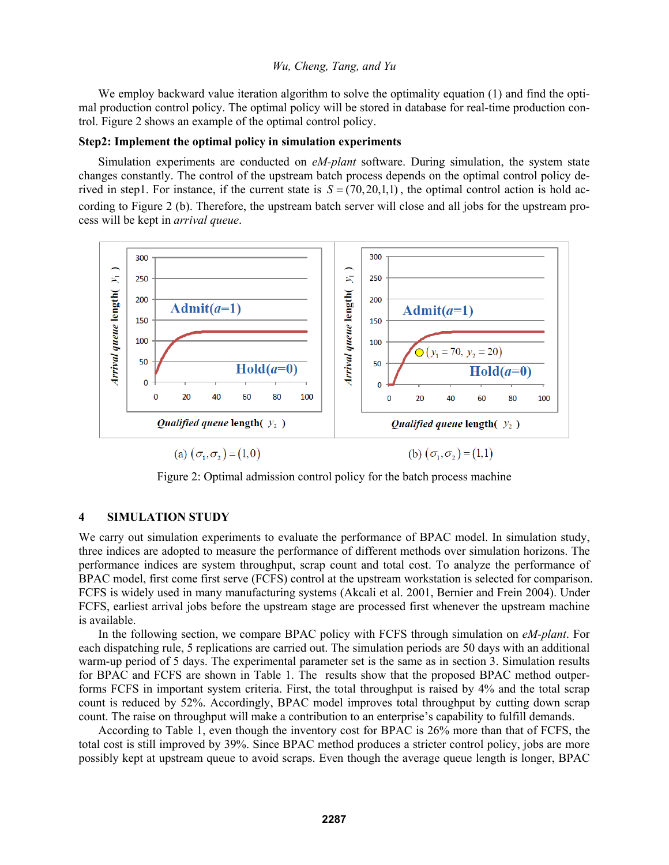We employ backward value iteration algorithm to solve the optimality equation (1) and find the optimal production control policy. The optimal policy will be stored in database for real-time production control. Figure 2 shows an example of the optimal control policy.

### **Step2: Implement the optimal policy in simulation experiments**

Simulation experiments are conducted on *eM-plant* software. During simulation, the system state changes constantly. The control of the upstream batch process depends on the optimal control policy derived in step1. For instance, if the current state is  $S = (70, 20, 1, 1)$ , the optimal control action is hold according to Figure 2 (b). Therefore, the upstream batch server will close and all jobs for the upstream process will be kept in *arrival queue*.



Figure 2: Optimal admission control policy for the batch process machine

## **4 SIMULATION STUDY**

We carry out simulation experiments to evaluate the performance of BPAC model. In simulation study, three indices are adopted to measure the performance of different methods over simulation horizons. The performance indices are system throughput, scrap count and total cost. To analyze the performance of BPAC model, first come first serve (FCFS) control at the upstream workstation is selected for comparison. FCFS is widely used in many manufacturing systems (Akcali et al. 2001, Bernier and Frein 2004). Under FCFS, earliest arrival jobs before the upstream stage are processed first whenever the upstream machine is available.

In the following section, we compare BPAC policy with FCFS through simulation on *eM-plant*. For each dispatching rule, 5 replications are carried out. The simulation periods are 50 days with an additional warm-up period of 5 days. The experimental parameter set is the same as in section 3. Simulation results for BPAC and FCFS are shown in Table 1. The results show that the proposed BPAC method outperforms FCFS in important system criteria. First, the total throughput is raised by 4% and the total scrap count is reduced by 52%. Accordingly, BPAC model improves total throughput by cutting down scrap count. The raise on throughput will make a contribution to an enterprise's capability to fulfill demands.

According to Table 1, even though the inventory cost for BPAC is 26% more than that of FCFS, the total cost is still improved by 39%. Since BPAC method produces a stricter control policy, jobs are more possibly kept at upstream queue to avoid scraps. Even though the average queue length is longer, BPAC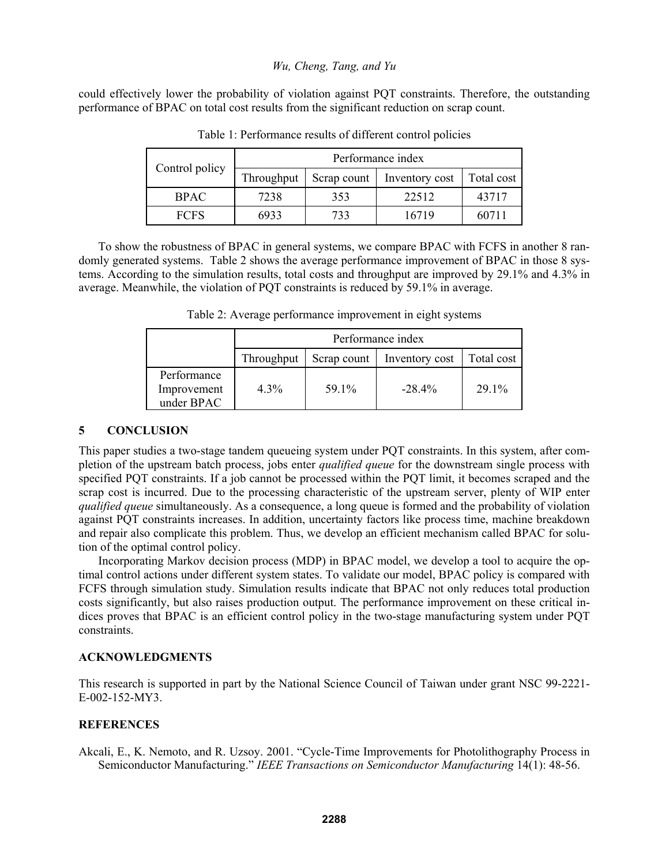could effectively lower the probability of violation against PQT constraints. Therefore, the outstanding performance of BPAC on total cost results from the significant reduction on scrap count.

| Control policy | Performance index |             |                |            |  |
|----------------|-------------------|-------------|----------------|------------|--|
|                | Throughput        | Scrap count | Inventory cost | Total cost |  |
| <b>BPAC</b>    | 7238              | 353         | 22512          | 43717      |  |
| <b>FCFS</b>    | 6933              | 733         | 16719          | 60711      |  |

Table 1: Performance results of different control policies

To show the robustness of BPAC in general systems, we compare BPAC with FCFS in another 8 randomly generated systems. Table 2 shows the average performance improvement of BPAC in those 8 systems. According to the simulation results, total costs and throughput are improved by 29.1% and 4.3% in average. Meanwhile, the violation of PQT constraints is reduced by 59.1% in average.

|                                          | Performance index |             |                |            |  |  |
|------------------------------------------|-------------------|-------------|----------------|------------|--|--|
|                                          | Throughput        | Scrap count | Inventory cost | Total cost |  |  |
| Performance<br>Improvement<br>under BPAC | $4.3\%$           | 59.1%       | $-28.4\%$      | 29.1%      |  |  |

Table 2: Average performance improvement in eight systems

# **5 CONCLUSION**

This paper studies a two-stage tandem queueing system under PQT constraints. In this system, after completion of the upstream batch process, jobs enter *qualified queue* for the downstream single process with specified PQT constraints. If a job cannot be processed within the PQT limit, it becomes scraped and the scrap cost is incurred. Due to the processing characteristic of the upstream server, plenty of WIP enter *qualified queue* simultaneously. As a consequence, a long queue is formed and the probability of violation against PQT constraints increases. In addition, uncertainty factors like process time, machine breakdown and repair also complicate this problem. Thus, we develop an efficient mechanism called BPAC for solution of the optimal control policy.

Incorporating Markov decision process (MDP) in BPAC model, we develop a tool to acquire the optimal control actions under different system states. To validate our model, BPAC policy is compared with FCFS through simulation study. Simulation results indicate that BPAC not only reduces total production costs significantly, but also raises production output. The performance improvement on these critical indices proves that BPAC is an efficient control policy in the two-stage manufacturing system under PQT constraints.

### **ACKNOWLEDGMENTS**

This research is supported in part by the National Science Council of Taiwan under grant NSC 99-2221- E-002-152-MY3.

### **REFERENCES**

Akcali, E., K. Nemoto, and R. Uzsoy. 2001. "Cycle-Time Improvements for Photolithography Process in Semiconductor Manufacturing." *IEEE Transactions on Semiconductor Manufacturing* 14(1): 48-56.